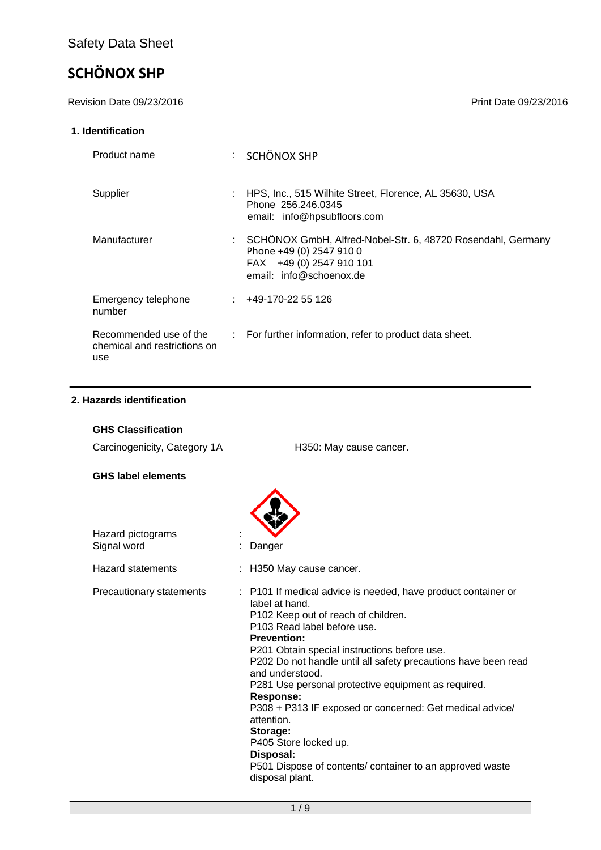| Revision Date 09/23/2016                                      |    | Print Date 09/23/2016                                                                                                                          |
|---------------------------------------------------------------|----|------------------------------------------------------------------------------------------------------------------------------------------------|
| 1. Identification                                             |    |                                                                                                                                                |
| Product name                                                  |    | : SCHÖNOX SHP                                                                                                                                  |
| Supplier                                                      |    | : HPS, Inc., 515 Wilhite Street, Florence, AL 35630, USA<br>Phone 256.246.0345<br>email: info@hpsubfloors.com                                  |
| Manufacturer                                                  | t. | SCHÖNOX GmbH, Alfred-Nobel-Str. 6, 48720 Rosendahl, Germany<br>Phone +49 (0) 2547 910 0<br>FAX +49 (0) 2547 910 101<br>email: info@schoenox.de |
| Emergency telephone<br>number                                 |    | +49-170-22 55 126                                                                                                                              |
| Recommended use of the<br>chemical and restrictions on<br>use |    | : For further information, refer to product data sheet.                                                                                        |

#### **2. Hazards identification**

| Carcinogenicity Category 1A |  |  |
|-----------------------------|--|--|

Carcinogenicity, Category 1A H350: May cause cancer.

#### **GHS label elements**

**GHS Classification**

| Hazard pictograms<br>Signal word | Danger                                                                                                                                                                                                                                                                                                                                                                                                                                                                                                                                                                                                 |
|----------------------------------|--------------------------------------------------------------------------------------------------------------------------------------------------------------------------------------------------------------------------------------------------------------------------------------------------------------------------------------------------------------------------------------------------------------------------------------------------------------------------------------------------------------------------------------------------------------------------------------------------------|
| <b>Hazard statements</b>         | : H350 May cause cancer.                                                                                                                                                                                                                                                                                                                                                                                                                                                                                                                                                                               |
| Precautionary statements         | : P101 If medical advice is needed, have product container or<br>label at hand.<br>P102 Keep out of reach of children.<br>P103 Read label before use.<br><b>Prevention:</b><br>P201 Obtain special instructions before use.<br>P202 Do not handle until all safety precautions have been read<br>and understood.<br>P281 Use personal protective equipment as required.<br><b>Response:</b><br>P308 + P313 IF exposed or concerned: Get medical advice/<br>attention.<br>Storage:<br>P405 Store locked up.<br>Disposal:<br>P501 Dispose of contents/ container to an approved waste<br>disposal plant. |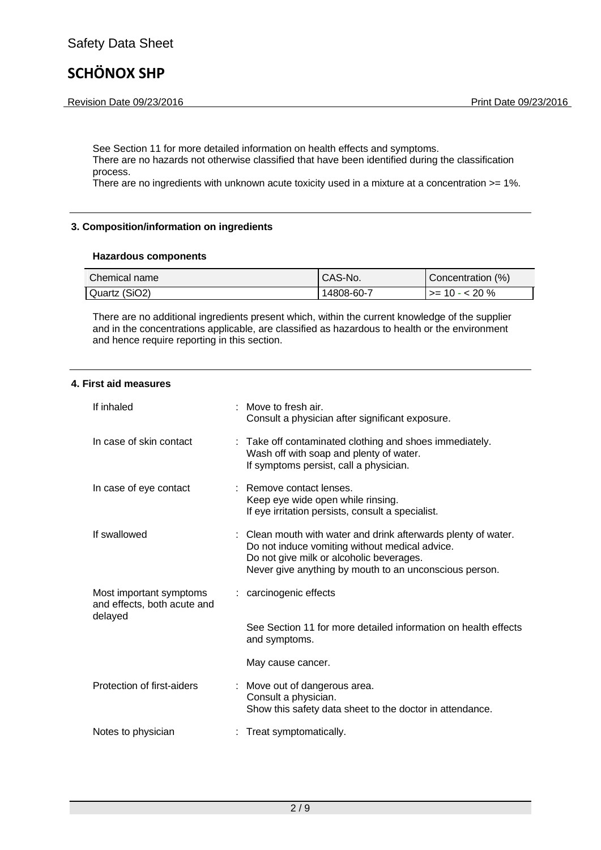Revision Date 09/23/2016 **Print Date 09/23/2016** 

See Section 11 for more detailed information on health effects and symptoms. There are no hazards not otherwise classified that have been identified during the classification process.

There are no ingredients with unknown acute toxicity used in a mixture at a concentration >= 1%.

#### **3. Composition/information on ingredients**

#### **Hazardous components**

| Chemical name | CAS-No.    | Concentration (%)    |
|---------------|------------|----------------------|
| Quartz (SiO2) | 14808-60-7 | $1 > = 10 - < 20 \%$ |

There are no additional ingredients present which, within the current knowledge of the supplier and in the concentrations applicable, are classified as hazardous to health or the environment and hence require reporting in this section.

| If inhaled                                                        | : Move to fresh air.<br>Consult a physician after significant exposure.                                                                                                                                                |
|-------------------------------------------------------------------|------------------------------------------------------------------------------------------------------------------------------------------------------------------------------------------------------------------------|
| In case of skin contact                                           | : Take off contaminated clothing and shoes immediately.<br>Wash off with soap and plenty of water.<br>If symptoms persist, call a physician.                                                                           |
| In case of eye contact                                            | : Remove contact lenses.<br>Keep eye wide open while rinsing.<br>If eye irritation persists, consult a specialist.                                                                                                     |
| If swallowed                                                      | : Clean mouth with water and drink afterwards plenty of water.<br>Do not induce vomiting without medical advice.<br>Do not give milk or alcoholic beverages.<br>Never give anything by mouth to an unconscious person. |
| Most important symptoms<br>and effects, both acute and<br>delayed | : carcinogenic effects                                                                                                                                                                                                 |
|                                                                   | See Section 11 for more detailed information on health effects<br>and symptoms.                                                                                                                                        |
|                                                                   | May cause cancer.                                                                                                                                                                                                      |
| Protection of first-aiders                                        | : Move out of dangerous area.<br>Consult a physician.<br>Show this safety data sheet to the doctor in attendance.                                                                                                      |
| Notes to physician                                                | : Treat symptomatically.                                                                                                                                                                                               |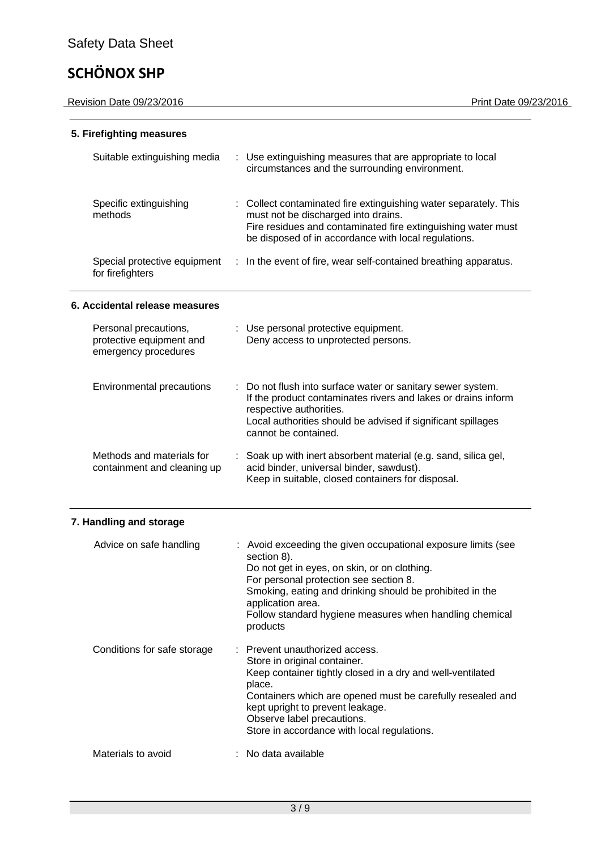Revision Date 09/23/2016 **Print Date 09/23/2016 5. Firefighting measures** Suitable extinguishing media : Use extinguishing measures that are appropriate to local circumstances and the surrounding environment. Specific extinguishing methods : Collect contaminated fire extinguishing water separately. This must not be discharged into drains. Fire residues and contaminated fire extinguishing water must be disposed of in accordance with local regulations. Special protective equipment for firefighters : In the event of fire, wear self-contained breathing apparatus. **6. Accidental release measures** Personal precautions, protective equipment and emergency procedures : Use personal protective equipment. Deny access to unprotected persons. Environmental precautions : Do not flush into surface water or sanitary sewer system. If the product contaminates rivers and lakes or drains inform respective authorities. Local authorities should be advised if significant spillages cannot be contained. Methods and materials for containment and cleaning up : Soak up with inert absorbent material (e.g. sand, silica gel, acid binder, universal binder, sawdust). Keep in suitable, closed containers for disposal. **7. Handling and storage** Advice on safe handling : Avoid exceeding the given occupational exposure limits (see section 8). Do not get in eyes, on skin, or on clothing. For personal protection see section 8. Smoking, eating and drinking should be prohibited in the application area. Follow standard hygiene measures when handling chemical products Conditions for safe storage : Prevent unauthorized access. Store in original container. Keep container tightly closed in a dry and well-ventilated place. Containers which are opened must be carefully resealed and kept upright to prevent leakage. Observe label precautions. Store in accordance with local regulations.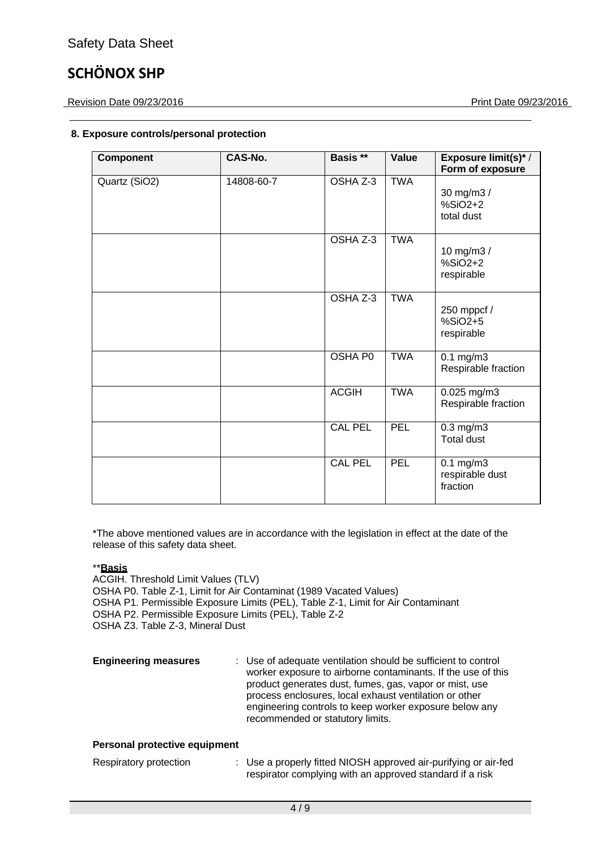Revision Date 09/23/2016 **Print Date 09/23/2016** 

#### **8. Exposure controls/personal protection**

| <b>Component</b> | CAS-No.    | Basis **       | Value      | Exposure limit(s)*/<br>Form of exposure       |
|------------------|------------|----------------|------------|-----------------------------------------------|
| Quartz (SiO2)    | 14808-60-7 | OSHA Z-3       | <b>TWA</b> | 30 mg/m3 /<br>$%SiO2+2$<br>total dust         |
|                  |            | OSHA Z-3       | <b>TWA</b> | 10 mg/m3 /<br>$%SiO2+2$<br>respirable         |
|                  |            | OSHA Z-3       | <b>TWA</b> | 250 mppcf /<br>%SiO2+5<br>respirable          |
|                  |            | OSHA P0        | <b>TWA</b> | $0.1$ mg/m $3$<br>Respirable fraction         |
|                  |            | <b>ACGIH</b>   | <b>TWA</b> | 0.025 mg/m3<br>Respirable fraction            |
|                  |            | <b>CAL PEL</b> | PEL        | $0.3$ mg/m $3$<br><b>Total dust</b>           |
|                  |            | <b>CAL PEL</b> | <b>PEL</b> | $0.1$ mg/m $3$<br>respirable dust<br>fraction |

\*The above mentioned values are in accordance with the legislation in effect at the date of the release of this safety data sheet.

#### \*\***Basis**

ACGIH. Threshold Limit Values (TLV) OSHA P0. Table Z-1, Limit for Air Contaminat (1989 Vacated Values) OSHA P1. Permissible Exposure Limits (PEL), Table Z-1, Limit for Air Contaminant OSHA P2. Permissible Exposure Limits (PEL), Table Z-2 OSHA Z3. Table Z-3, Mineral Dust

**Engineering measures** : Use of adequate ventilation should be sufficient to control worker exposure to airborne contaminants. If the use of this product generates dust, fumes, gas, vapor or mist, use process enclosures, local exhaust ventilation or other engineering controls to keep worker exposure below any recommended or statutory limits.

#### **Personal protective equipment**

| Respiratory protection | : Use a properly fitted NIOSH approved air-purifying or air-fed |
|------------------------|-----------------------------------------------------------------|
|                        | respirator complying with an approved standard if a risk        |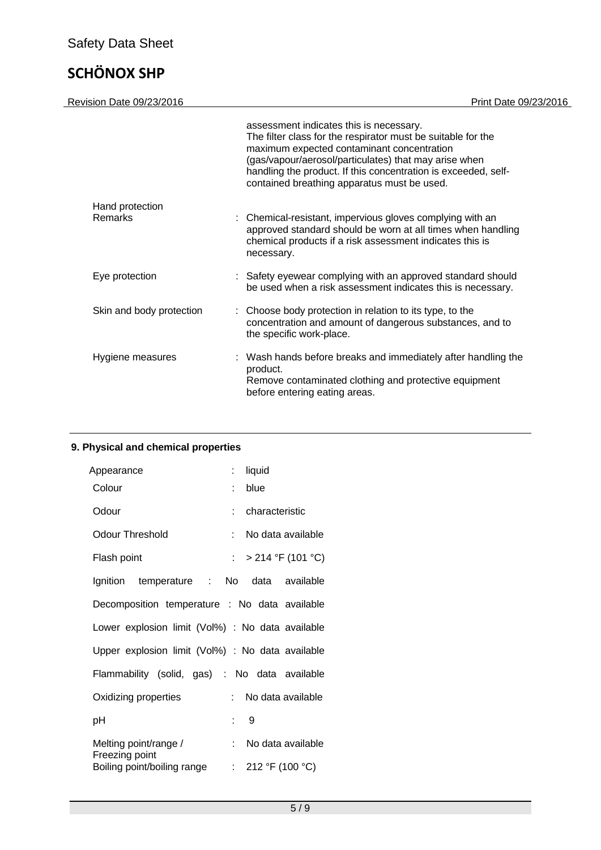| Revision Date 09/23/2016   | Print Date 09/23/2016                                                                                                                                                                                                                                                                                                           |
|----------------------------|---------------------------------------------------------------------------------------------------------------------------------------------------------------------------------------------------------------------------------------------------------------------------------------------------------------------------------|
|                            | assessment indicates this is necessary.<br>The filter class for the respirator must be suitable for the<br>maximum expected contaminant concentration<br>(gas/vapour/aerosol/particulates) that may arise when<br>handling the product. If this concentration is exceeded, self-<br>contained breathing apparatus must be used. |
| Hand protection<br>Remarks | : Chemical-resistant, impervious gloves complying with an<br>approved standard should be worn at all times when handling<br>chemical products if a risk assessment indicates this is<br>necessary.                                                                                                                              |
| Eye protection             | : Safety eyewear complying with an approved standard should<br>be used when a risk assessment indicates this is necessary.                                                                                                                                                                                                      |
| Skin and body protection   | : Choose body protection in relation to its type, to the<br>concentration and amount of dangerous substances, and to<br>the specific work-place.                                                                                                                                                                                |
| Hygiene measures           | : Wash hands before breaks and immediately after handling the<br>product.<br>Remove contaminated clothing and protective equipment<br>before entering eating areas.                                                                                                                                                             |

### **9. Physical and chemical properties**

| Appearance                                       | t.           | liquid              |
|--------------------------------------------------|--------------|---------------------|
| Colour                                           | ۰            | blue                |
| Odour                                            |              | : characteristic    |
| Odour Threshold                                  | t.           | No data available   |
| Flash point                                      |              | : > 214 °F (101 °C) |
| Ignition temperature : No data available         |              |                     |
| Decomposition temperature : No data available    |              |                     |
| Lower explosion limit (Vol%) : No data available |              |                     |
| Upper explosion limit (Vol%) : No data available |              |                     |
| Flammability (solid, gas) : No data available    |              |                     |
| Oxidizing properties                             | $\mathbf{r}$ | No data available   |
| рH                                               |              | : 9                 |
| Melting point/range /<br>Freezing point          | t.           | No data available   |
| Boiling point/boiling range                      |              | : $212 °F (100 °C)$ |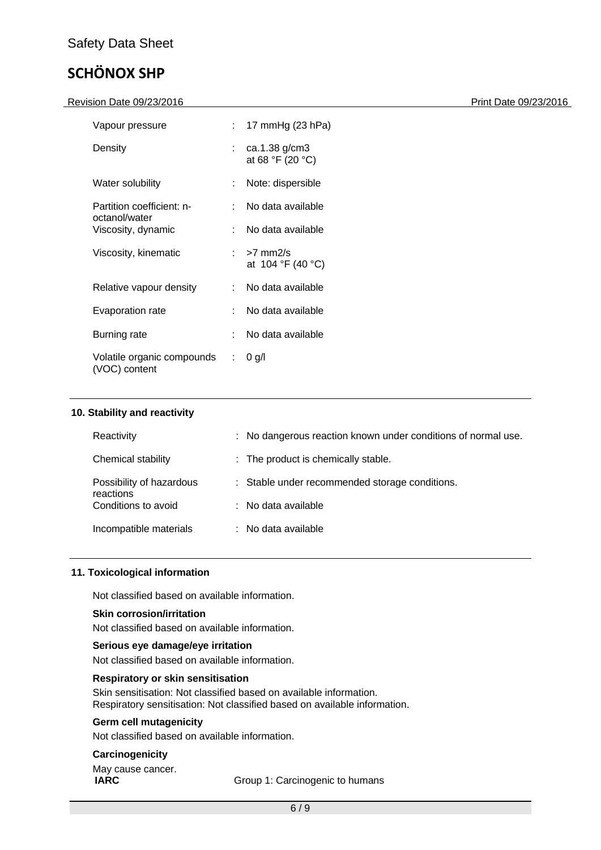Revision Date 09/23/2016 2012 2020 2021 2022 2022 2024 2022 203 204 2023 2024 2022 2020 2021 2022 2024 2022 20

| t.                           | 17 mmHg (23 hPa)                           |
|------------------------------|--------------------------------------------|
|                              | : $ca.1.38 g/cm3$<br>at 68 °F (20 °C)      |
| t.                           | Note: dispersible                          |
| $\mathbf{r}_{\mathrm{max}}$  | No data available                          |
|                              | No data available                          |
|                              | $\therefore$ >7 mm2/s<br>at 104 °F (40 °C) |
| t.                           | No data available                          |
| × 1                          | No data available                          |
| t.                           | No data available                          |
| Volatile organic compounds : | 0 q/l                                      |
|                              |                                            |

#### **10. Stability and reactivity**

| Reactivity                            | : No dangerous reaction known under conditions of normal use. |
|---------------------------------------|---------------------------------------------------------------|
| Chemical stability                    | : The product is chemically stable.                           |
| Possibility of hazardous<br>reactions | : Stable under recommended storage conditions.                |
| Conditions to avoid                   | $\therefore$ No data available                                |
| Incompatible materials                | $\therefore$ No data available                                |

#### **11. Toxicological information**

Not classified based on available information.

#### **Skin corrosion/irritation**

Not classified based on available information.

#### **Serious eye damage/eye irritation**

Not classified based on available information.

#### **Respiratory or skin sensitisation**

Skin sensitisation: Not classified based on available information. Respiratory sensitisation: Not classified based on available information.

#### **Germ cell mutagenicity**

Not classified based on available information.

#### **Carcinogenicity**

May cause cancer.<br>IARC

**Group 1: Carcinogenic to humans**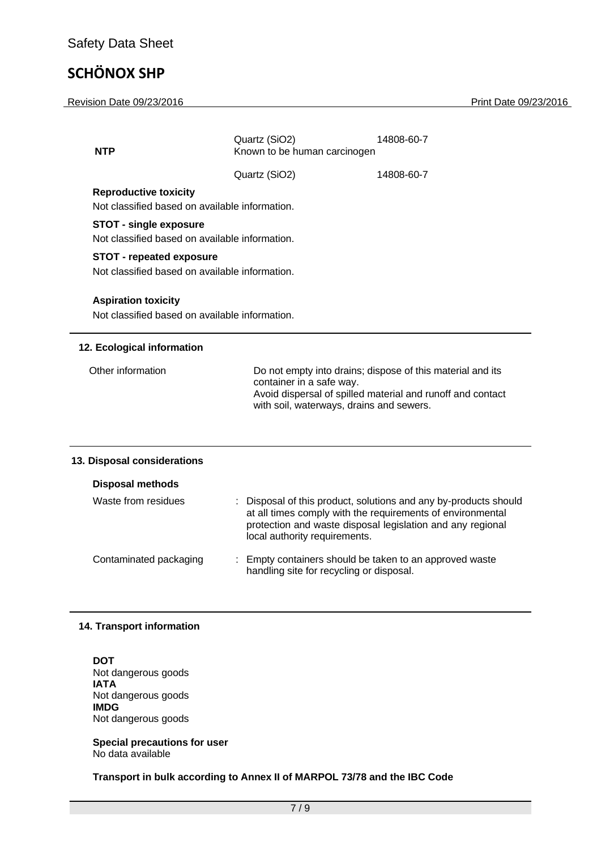Revision Date 09/23/2016 **Print Date 09/23/2016** 

| <b>NTP</b>                                                                        | Quartz (SiO2)<br>Known to be human carcinogen | 14808-60-7                                                                                                                                                                                   |  |
|-----------------------------------------------------------------------------------|-----------------------------------------------|----------------------------------------------------------------------------------------------------------------------------------------------------------------------------------------------|--|
|                                                                                   | Quartz (SiO2)                                 | 14808-60-7                                                                                                                                                                                   |  |
| <b>Reproductive toxicity</b><br>Not classified based on available information.    |                                               |                                                                                                                                                                                              |  |
| <b>STOT - single exposure</b><br>Not classified based on available information.   |                                               |                                                                                                                                                                                              |  |
| <b>STOT - repeated exposure</b><br>Not classified based on available information. |                                               |                                                                                                                                                                                              |  |
| <b>Aspiration toxicity</b><br>Not classified based on available information.      |                                               |                                                                                                                                                                                              |  |
| 12. Ecological information                                                        |                                               |                                                                                                                                                                                              |  |
| Other information                                                                 | container in a safe way.                      | Do not empty into drains; dispose of this material and its<br>Avoid dispersal of spilled material and runoff and contact<br>with soil, waterways, drains and sewers.                         |  |
| 13. Disposal considerations                                                       |                                               |                                                                                                                                                                                              |  |
| <b>Disposal methods</b>                                                           |                                               |                                                                                                                                                                                              |  |
| Waste from residues                                                               | local authority requirements.                 | : Disposal of this product, solutions and any by-products should<br>at all times comply with the requirements of environmental<br>protection and waste disposal legislation and any regional |  |
| Contaminated packaging                                                            |                                               | : Empty containers should be taken to an approved waste<br>handling site for recycling or disposal.                                                                                          |  |

#### **14. Transport information**

**DOT** Not dangerous goods **IATA** Not dangerous goods **IMDG** Not dangerous goods

**Special precautions for user** No data available

**Transport in bulk according to Annex II of MARPOL 73/78 and the IBC Code**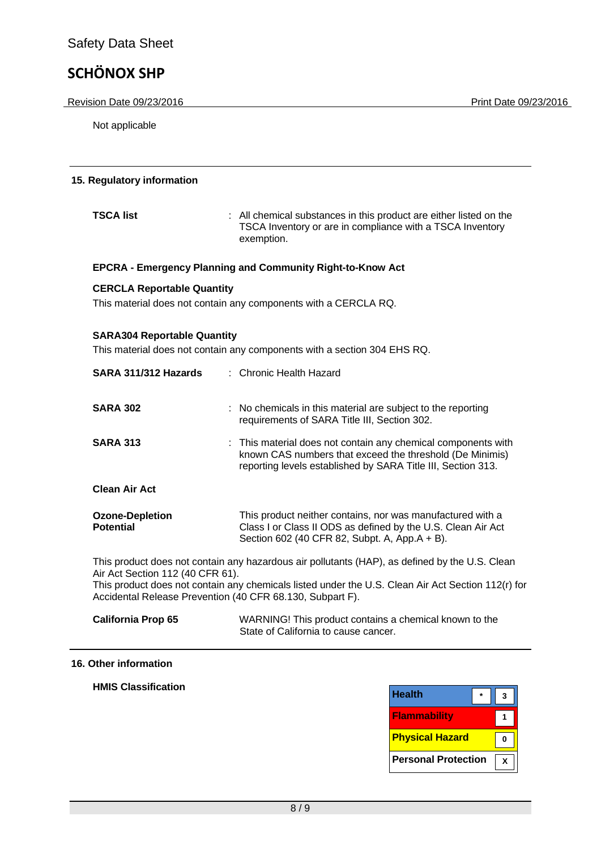Revision Date 09/23/2016 **Print Date 09/23/2016** 

Not applicable

#### **15. Regulatory information**

**TSCA list** : All chemical substances in this product are either listed on the TSCA Inventory or are in compliance with a TSCA Inventory exemption.

#### **EPCRA - Emergency Planning and Community Right-to-Know Act**

#### **CERCLA Reportable Quantity**

This material does not contain any components with a CERCLA RQ.

#### **SARA304 Reportable Quantity**

This material does not contain any components with a section 304 EHS RQ.

| SARA 311/312 Hazards                                                                          | : Chronic Health Hazard                                                                                                                                                                              |
|-----------------------------------------------------------------------------------------------|------------------------------------------------------------------------------------------------------------------------------------------------------------------------------------------------------|
| <b>SARA 302</b>                                                                               | : No chemicals in this material are subject to the reporting<br>requirements of SARA Title III, Section 302.                                                                                         |
| <b>SARA 313</b>                                                                               | : This material does not contain any chemical components with<br>known CAS numbers that exceed the threshold (De Minimis)<br>reporting levels established by SARA Title III, Section 313.            |
| <b>Clean Air Act</b>                                                                          |                                                                                                                                                                                                      |
| <b>Ozone-Depletion</b><br><b>Potential</b>                                                    | This product neither contains, nor was manufactured with a<br>Class I or Class II ODS as defined by the U.S. Clean Air Act<br>Section 602 (40 CFR 82, Subpt. A, App.A + B).                          |
| Air Act Section 112 (40 CFR 61).<br>Accidental Release Prevention (40 CFR 68.130, Subpart F). | This product does not contain any hazardous air pollutants (HAP), as defined by the U.S. Clean<br>This product does not contain any chemicals listed under the U.S. Clean Air Act Section 112(r) for |

#### **California Prop 65** WARNING! This product contains a chemical known to the State of California to cause cancer.

#### **16. Other information**

**HMIS Classification**

| Health                     |  |
|----------------------------|--|
| <b>Flammability</b>        |  |
| <b>Physical Hazard</b>     |  |
| <b>Personal Protection</b> |  |